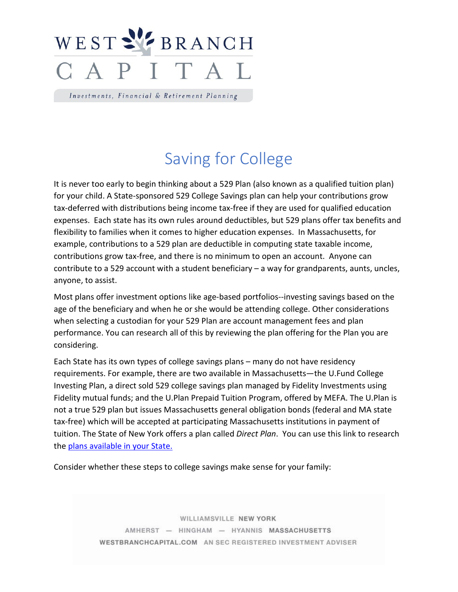

Investments, Financial & Retirement Planning

## Saving for College

It is never too early to begin thinking about a 529 Plan (also known as a qualified tuition plan) for your child. A State-sponsored 529 College Savings plan can help your contributions grow tax-deferred with distributions being income tax-free if they are used for qualified education expenses. Each state has its own rules around deductibles, but 529 plans offer tax benefits and flexibility to families when it comes to higher education expenses. In Massachusetts, for example, contributions to a 529 plan are deductible in computing state taxable income, contributions grow tax-free, and there is no minimum to open an account. Anyone can contribute to a 529 account with a student beneficiary – a way for grandparents, aunts, uncles, anyone, to assist.

Most plans offer investment options like age-based portfolios--investing savings based on the age of the beneficiary and when he or she would be attending college. Other considerations when selecting a custodian for your 529 Plan are account management fees and plan performance. You can research all of this by reviewing the plan offering for the Plan you are considering.

Each State has its own types of college savings plans – many do not have residency requirements. For example, there are two available in Massachusetts—the U.Fund College Investing Plan, a direct sold 529 college savings plan managed by Fidelity Investments using Fidelity mutual funds; and the U.Plan Prepaid Tuition Program, offered by MEFA. The U.Plan is not a true 529 plan but issues Massachusetts general obligation bonds (federal and MA state tax-free) which will be accepted at participating Massachusetts institutions in payment of tuition. The State of New York offers a plan called *Direct Plan*. You can use this link to research the [plans available in your State.](https://www.savingforcollege.com/college-savings-201)

Consider whether these steps to college savings make sense for your family:

WILLIAMSVILLE NEW YORK AMHERST - HINGHAM - HYANNIS MASSACHUSETTS WESTBRANCHCAPITAL.COM AN SEC REGISTERED INVESTMENT ADVISER